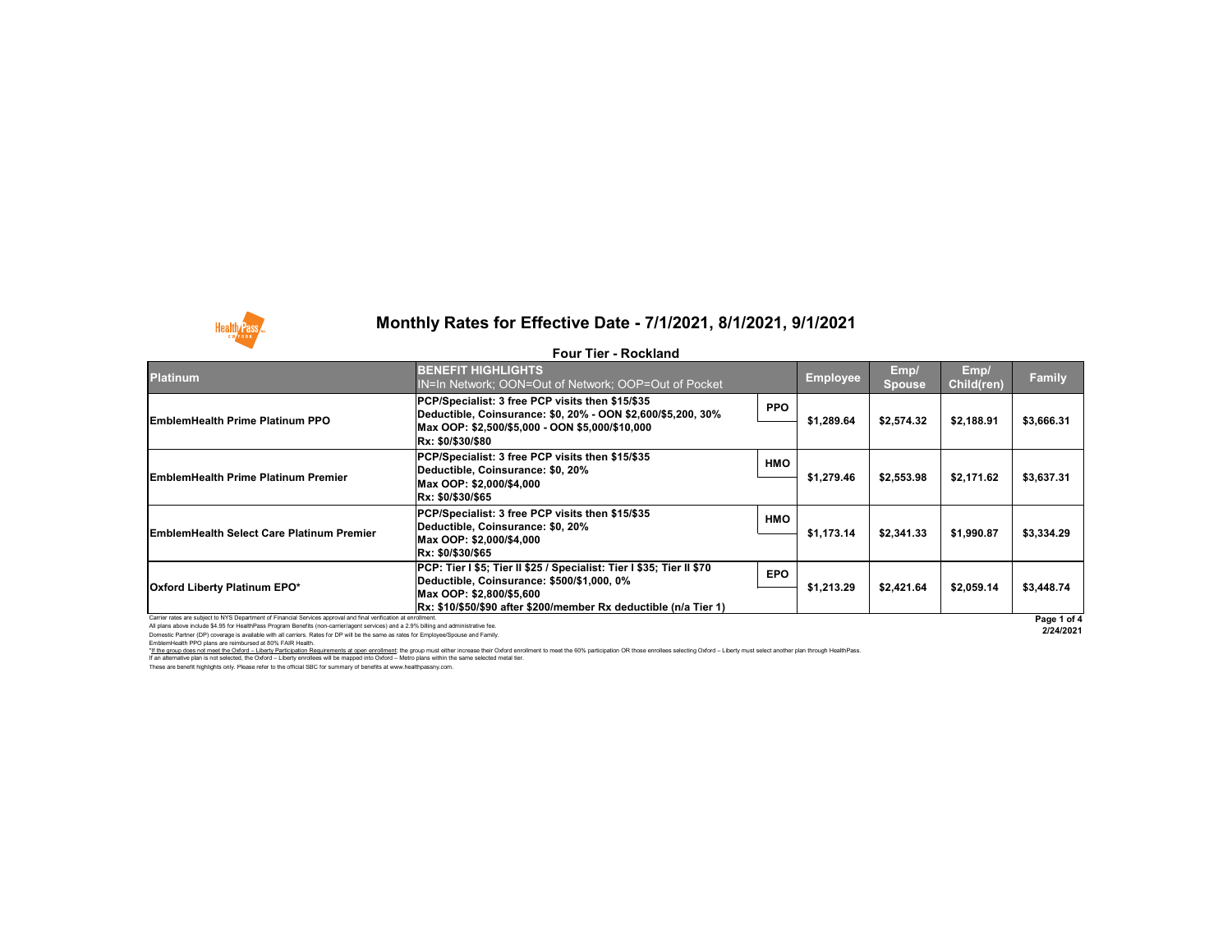All plans above include \$4.95 for HealthPass Program Benefits (non-carrier/agent services) and a 2.9% billing and administrative fee.

Domestic Partner (DP) coverage is available with all carriers. Rates for DP will be the same as rates for Employee/Spouse and Family. EmblemHealth PPO plans are reimbursed at 80% FAIR Health.



## **Monthly Rates for Effective Date - 7/1/2021, 8/1/2021, 9/1/2021**

### **Four Tier - Rockland**



**2/24/2021**

These are benefit highlights only. Please refer to the official SBC for summary of benefits at www.healthpassny.com. \*If the group does not meet the Oxford - Liberty Participation Requirements at open enrollment: the group must either increase their Oxford enrollment to meet the 60% participation OR those enrollees selecting Oxford - Lib If an alternative plan is not selected, the Oxford – Liberty enrollees will be mapped into Oxford – Metro plans within the same selected metal tier.

| <b>Platinum</b>                                                                                                 | <b>BENEFIT HIGHLIGHTS</b><br>IN=In Network; OON=Out of Network; OOP=Out of Pocket                                                               |            | <b>Employee</b> | Emp/<br>Spouse | Emp/<br>Child(ren) | <b>Family</b> |
|-----------------------------------------------------------------------------------------------------------------|-------------------------------------------------------------------------------------------------------------------------------------------------|------------|-----------------|----------------|--------------------|---------------|
| <b>EmblemHealth Prime Platinum PPO</b>                                                                          | PCP/Specialist: 3 free PCP visits then \$15/\$35<br>Deductible, Coinsurance: \$0, 20% - OON \$2,600/\$5,200, 30%                                | <b>PPO</b> | \$1,289.64      | \$2,574.32     | \$2,188.91         | \$3,666.31    |
|                                                                                                                 | Max OOP: \$2,500/\$5,000 - OON \$5,000/\$10,000<br><b>Rx: \$0/\$30/\$80</b>                                                                     |            |                 |                |                    |               |
| <b>EmblemHealth Prime Platinum Premier</b>                                                                      | PCP/Specialist: 3 free PCP visits then \$15/\$35<br>Deductible, Coinsurance: \$0, 20%<br>Max OOP: \$2,000/\$4,000                               | <b>HMO</b> | \$1,279.46      | \$2,553.98     | \$2,171.62         | \$3,637.31    |
|                                                                                                                 | <b>Rx: \$0/\$30/\$65</b>                                                                                                                        |            |                 |                |                    |               |
| <b>EmblemHealth Select Care Platinum Premier</b>                                                                | PCP/Specialist: 3 free PCP visits then \$15/\$35<br>Deductible, Coinsurance: \$0, 20%<br>Max OOP: \$2,000/\$4,000<br><b>Rx: \$0/\$30/\$65</b>   | <b>HMO</b> | \$1,173.14      | \$2,341.33     | \$1,990.87         | \$3,334.29    |
| <b>Oxford Liberty Platinum EPO*</b>                                                                             | PCP: Tier I \$5; Tier II \$25 / Specialist: Tier I \$35; Tier II \$70<br>Deductible, Coinsurance: \$500/\$1,000, 0%<br>Max OOP: \$2,800/\$5,600 | <b>EPO</b> | \$1,213.29      | \$2,421.64     | \$2,059.14         | \$3,448.74    |
| Carrier rates are subject to NYS Department of Financial Services approval and final verification at enrollment | Rx: \$10/\$50/\$90 after \$200/member Rx deductible (n/a Tier 1)                                                                                |            |                 |                |                    | Page 1 o      |
|                                                                                                                 |                                                                                                                                                 |            |                 |                |                    |               |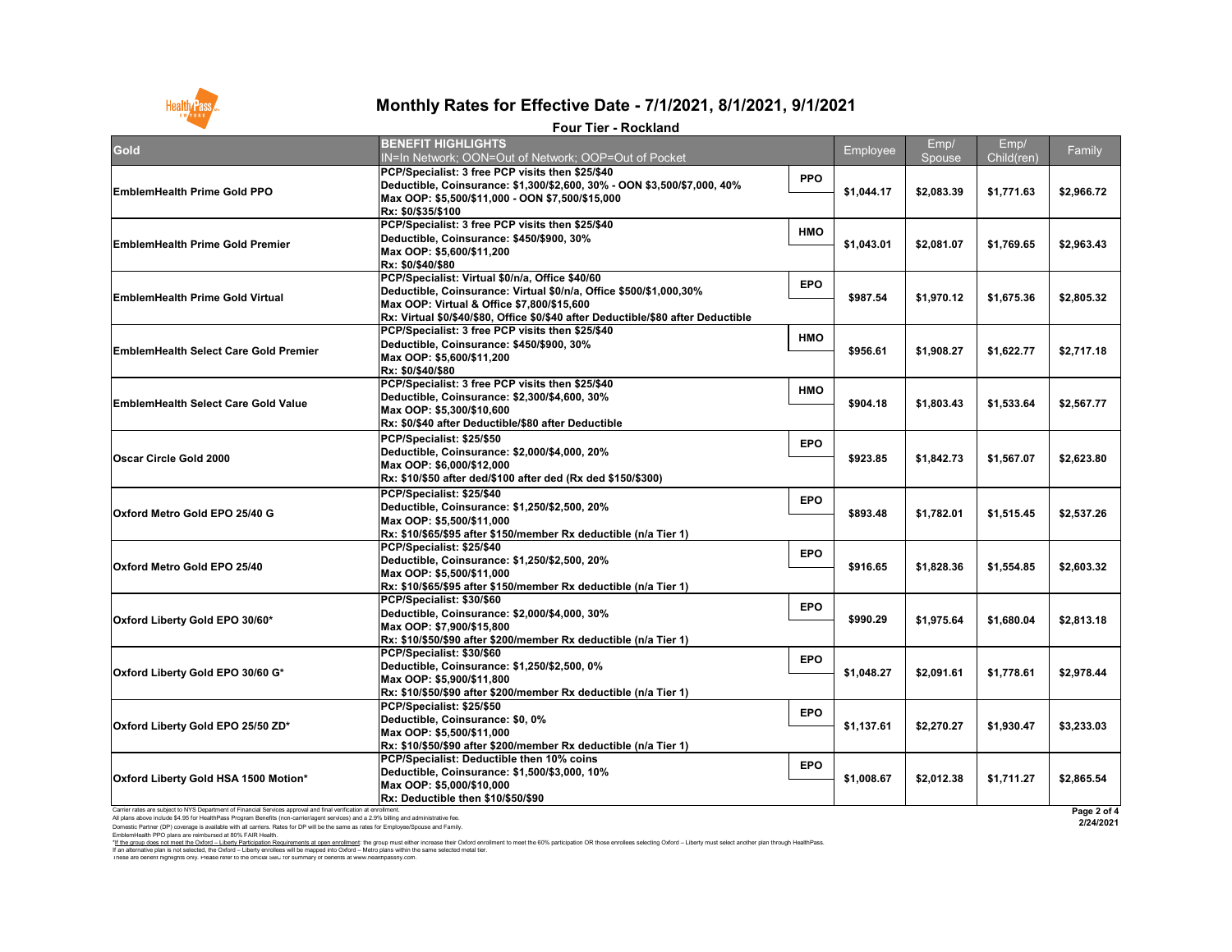I hese are benefit highlights only. Please refer to the official SBC for summary of benefits at www.healthpassny.com. \*<u>If the group does not meet the Oxford – Liberty Participation Requirements at open enrollment</u>: the group must either increase their Oxford enrollment to meet the 60% participation OR those enrollees selecting Oxford – L If an alternative plan is not selected, the Oxford – Liberty enrollees will be mapped into Oxford – Metro plans within the same selected metal tier.

EmblemHealth PPO plans are reimbursed at 80% FAIR Health.

| Gold                                                                                                                                                                                                                                                                                                                                                                                               | <b>BENEFIT HIGHLIGHTS</b><br>IN=In Network; OON=Out of Network; OOP=Out of Pocket                                                                                                                                                                         |            | Employee   | Emp/<br>Spouse | Emp/<br>Child(ren) | Family                   |
|----------------------------------------------------------------------------------------------------------------------------------------------------------------------------------------------------------------------------------------------------------------------------------------------------------------------------------------------------------------------------------------------------|-----------------------------------------------------------------------------------------------------------------------------------------------------------------------------------------------------------------------------------------------------------|------------|------------|----------------|--------------------|--------------------------|
| <b>EmblemHealth Prime Gold PPO</b>                                                                                                                                                                                                                                                                                                                                                                 | PCP/Specialist: 3 free PCP visits then \$25/\$40<br>Deductible, Coinsurance: \$1,300/\$2,600, 30% - OON \$3,500/\$7,000, 40%<br>Max OOP: \$5,500/\$11,000 - OON \$7,500/\$15,000<br><b>Rx: \$0/\$35/\$100</b>                                             | <b>PPO</b> | \$1,044.17 | \$2,083.39     | \$1,771.63         | \$2,966.72               |
| <b>EmblemHealth Prime Gold Premier</b>                                                                                                                                                                                                                                                                                                                                                             | <b>PCP/Specialist: 3 free PCP visits then \$25/\$40</b><br>Deductible, Coinsurance: \$450/\$900, 30%<br>Max OOP: \$5,600/\$11,200<br><b>Rx: \$0/\$40/\$80</b>                                                                                             | <b>HMO</b> | \$1,043.01 | \$2,081.07     | \$1,769.65         | \$2,963.43               |
| <b>EmblemHealth Prime Gold Virtual</b>                                                                                                                                                                                                                                                                                                                                                             | PCP/Specialist: Virtual \$0/n/a, Office \$40/60<br>Deductible, Coinsurance: Virtual \$0/n/a, Office \$500/\$1,000,30%<br>Max OOP: Virtual & Office \$7,800/\$15,600<br> Rx: Virtual \$0/\$40/\$80, Office \$0/\$40 after Deductible/\$80 after Deductible | <b>EPO</b> | \$987.54   | \$1,970.12     | \$1,675.36         | \$2,805.32               |
| <b>EmblemHealth Select Care Gold Premier</b>                                                                                                                                                                                                                                                                                                                                                       | <b>PCP/Specialist: 3 free PCP visits then \$25/\$40</b><br>Deductible, Coinsurance: \$450/\$900, 30%<br>Max OOP: \$5,600/\$11,200<br><b>Rx: \$0/\$40/\$80</b>                                                                                             | <b>HMO</b> | \$956.61   | \$1,908.27     | \$1,622.77         | \$2,717.18               |
| <b>EmblemHealth Select Care Gold Value</b>                                                                                                                                                                                                                                                                                                                                                         | <b>PCP/Specialist: 3 free PCP visits then \$25/\$40</b><br>Deductible, Coinsurance: \$2,300/\$4,600, 30%<br>Max OOP: \$5,300/\$10,600<br> Rx: \$0/\$40 after Deductible/\$80 after Deductible                                                             | <b>HMO</b> | \$904.18   | \$1,803.43     | \$1,533.64         | \$2,567.77               |
| <b>Oscar Circle Gold 2000</b>                                                                                                                                                                                                                                                                                                                                                                      | PCP/Specialist: \$25/\$50<br>Deductible, Coinsurance: \$2,000/\$4,000, 20%<br>Max OOP: \$6,000/\$12,000<br> Rx: \$10/\$50 after ded/\$100 after ded (Rx ded \$150/\$300)                                                                                  | <b>EPO</b> | \$923.85   | \$1,842.73     | \$1,567.07         | \$2,623.80               |
| <b>Oxford Metro Gold EPO 25/40 G</b>                                                                                                                                                                                                                                                                                                                                                               | PCP/Specialist: \$25/\$40<br>Deductible, Coinsurance: \$1,250/\$2,500, 20%<br>Max OOP: \$5,500/\$11,000<br> Rx: \$10/\$65/\$95 after \$150/member Rx deductible (n/a Tier 1)                                                                              | <b>EPO</b> | \$893.48   | \$1,782.01     | \$1,515.45         | \$2,537.26               |
| <b>Oxford Metro Gold EPO 25/40</b>                                                                                                                                                                                                                                                                                                                                                                 | PCP/Specialist: \$25/\$40<br>Deductible, Coinsurance: \$1,250/\$2,500, 20%<br>Max OOP: \$5,500/\$11,000<br> Rx: \$10/\$65/\$95 after \$150/member Rx deductible (n/a Tier 1)                                                                              | <b>EPO</b> | \$916.65   | \$1,828.36     | \$1,554.85         | \$2,603.32               |
| Oxford Liberty Gold EPO 30/60*                                                                                                                                                                                                                                                                                                                                                                     | PCP/Specialist: \$30/\$60<br>Deductible, Coinsurance: \$2,000/\$4,000, 30%<br>Max OOP: \$7,900/\$15,800<br> Rx: \$10/\$50/\$90 after \$200/member Rx deductible (n/a Tier 1)                                                                              | <b>EPO</b> | \$990.29   | \$1,975.64     | \$1,680.04         | \$2,813.18               |
| <b>Oxford Liberty Gold EPO 30/60 G*</b>                                                                                                                                                                                                                                                                                                                                                            | PCP/Specialist: \$30/\$60<br>Deductible, Coinsurance: \$1,250/\$2,500, 0%<br>Max OOP: \$5,900/\$11,800<br> Rx: \$10/\$50/\$90 after \$200/member Rx deductible (n/a Tier 1)                                                                               | <b>EPO</b> | \$1,048.27 | \$2,091.61     | \$1,778.61         | \$2,978.44               |
| Oxford Liberty Gold EPO 25/50 ZD*                                                                                                                                                                                                                                                                                                                                                                  | PCP/Specialist: \$25/\$50<br>Deductible, Coinsurance: \$0, 0%<br>Max OOP: \$5,500/\$11,000<br> Rx: \$10/\$50/\$90 after \$200/member Rx deductible (n/a Tier 1)                                                                                           | <b>EPO</b> | \$1,137.61 | \$2,270.27     | \$1,930.47         | \$3,233.03               |
| <b>Oxford Liberty Gold HSA 1500 Motion*</b>                                                                                                                                                                                                                                                                                                                                                        | <b>PCP/Specialist: Deductible then 10% coins</b><br>Deductible, Coinsurance: \$1,500/\$3,000, 10%<br>Max OOP: \$5,000/\$10,000<br><b>Rx: Deductible then \$10/\$50/\$90</b>                                                                               | <b>EPO</b> | \$1,008.67 | \$2,012.38     | \$1,711.27         | \$2,865.54               |
| Carrier rates are subject to NYS Department of Financial Services approval and final verification at enrollment<br>All plans above include \$4.95 for HealthPass Program Benefits (non-carrier/agent services) and a 2.9% billing and administrative fee.<br>Domestic Partner (DP) coverage is available with all carriers. Rates for DP will be the same as rates for Employee/Spouse and Family. |                                                                                                                                                                                                                                                           |            |            |                |                    | Page 2 of 4<br>2/24/2021 |



## **Monthly Rates for Effective Date - 7/1/2021, 8/1/2021, 9/1/2021**

### **Four Tier - Rockland**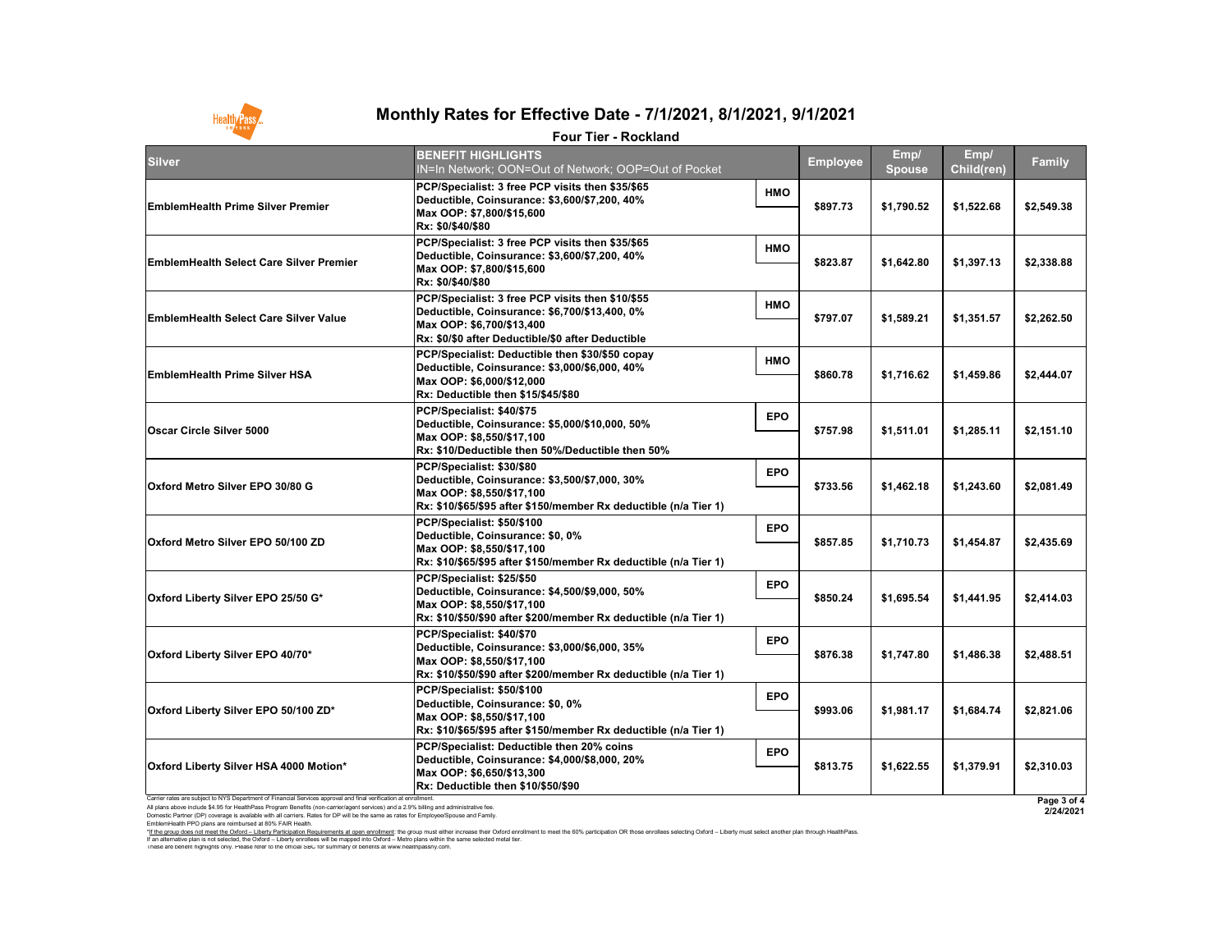Carrier rates are subject to NYS Department of Financial Services approval and final verification at enrollment. All plans above include \$4.95 for HealthPass Program Benefits (non-carrier/agent services) and a 2.9% billing and administrative fee. Domestic Partner (DP) coverage is available with all carriers. Rates for DP will be the same as rates for Employee/Spouse and Family. EmblemHealth PPO plans are reimbursed at 80% FAIR Health.

**2/24/2021**



# **Monthly Rates for Effective Date - 7/1/2021, 8/1/2021, 9/1/2021**

#### **Four Tier - Rockland**

|                                                                                                                 | Four Tier - Rockland                                                                                                                                                                              |            |                 |                       |                    |               |
|-----------------------------------------------------------------------------------------------------------------|---------------------------------------------------------------------------------------------------------------------------------------------------------------------------------------------------|------------|-----------------|-----------------------|--------------------|---------------|
| Silver                                                                                                          | <b>BENEFIT HIGHLIGHTS</b><br>IN=In Network; OON=Out of Network; OOP=Out of Pocket                                                                                                                 |            | <b>Employee</b> | Emp/<br><b>Spouse</b> | Emp/<br>Child(ren) | <b>Family</b> |
| <b>EmblemHealth Prime Silver Premier</b>                                                                        | PCP/Specialist: 3 free PCP visits then \$35/\$65<br>Deductible, Coinsurance: \$3,600/\$7,200, 40%<br>Max OOP: \$7,800/\$15,600<br> Rx: \$0/\$40/\$80                                              | <b>HMO</b> | \$897.73        | \$1,790.52            | \$1,522.68         | \$2,549.38    |
| <b>EmblemHealth Select Care Silver Premier</b>                                                                  | PCP/Specialist: 3 free PCP visits then \$35/\$65<br>Deductible, Coinsurance: \$3,600/\$7,200, 40%<br>Max OOP: \$7,800/\$15,600<br> Rx: \$0/\$40/\$80                                              | <b>HMO</b> | \$823.87        | \$1,642.80            | \$1,397.13         | \$2,338.88    |
| <b>EmblemHealth Select Care Silver Value</b>                                                                    | PCP/Specialist: 3 free PCP visits then \$10/\$55<br>Deductible, Coinsurance: \$6,700/\$13,400, 0%<br>Max OOP: \$6,700/\$13,400 <br> Rx: \$0/\$0 after Deductible/\$0 after Deductible_            | <b>HMO</b> | \$797.07        | \$1,589.21            | \$1,351.57         | \$2,262.50    |
| <b>EmblemHealth Prime Silver HSA</b>                                                                            | PCP/Specialist: Deductible then \$30/\$50 copay<br>Deductible, Coinsurance: \$3,000/\$6,000, 40%<br>Max OOP: \$6,000/\$12,000<br>Rx: Deductible then \$15/\$45/\$80                               | <b>HMO</b> | \$860.78        | \$1,716.62            | \$1,459.86         | \$2,444.07    |
| <b>Oscar Circle Silver 5000</b>                                                                                 | PCP/Specialist: \$40/\$75<br>Deductible, Coinsurance: \$5,000/\$10,000, 50%<br>Max OOP: \$8,550/\$17,100<br>$\mathsf{Rx}\text{: }\$10\mathsf{/Deductible}$ then 50%/Deductible then 50%           | <b>EPO</b> | \$757.98        | \$1,511.01            | \$1,285.11         | \$2,151.10    |
| Oxford Metro Silver EPO 30/80 G                                                                                 | PCP/Specialist: \$30/\$80<br>Deductible, Coinsurance: \$3,500/\$7,000, 30%<br>Max OOP: \$8,550/\$17,100<br>Rx: \$10/\$65/\$95 after \$150/member Rx deductible (n/a Tier 1)                       | <b>EPO</b> | \$733.56        | \$1,462.18            | \$1,243.60         | \$2,081.49    |
| <b>Oxford Metro Silver EPO 50/100 ZD</b>                                                                        | PCP/Specialist: \$50/\$100<br>Deductible, Coinsurance: \$0, 0%<br>Max OOP: \$8,550/\$17,100<br> Rx: \$10/\$65/\$95                                  after \$150/member Rx deductible (n/a Tier 1) | <b>EPO</b> | \$857.85        | \$1,710.73            | \$1,454.87         | \$2,435.69    |
| Oxford Liberty Silver EPO 25/50 G*                                                                              | PCP/Specialist: \$25/\$50<br>Deductible, Coinsurance: \$4,500/\$9,000, 50%<br>Max OOP: \$8,550/\$17,100 Max<br> Rx: \$10/\$50/\$90 after \$200/member Rx deductible (n/a Tier 1)                  | <b>EPO</b> | \$850.24        | \$1,695.54            | \$1,441.95         | \$2,414.03    |
| Oxford Liberty Silver EPO 40/70*                                                                                | PCP/Specialist: \$40/\$70<br>Deductible, Coinsurance: \$3,000/\$6,000, 35%<br>Max OOP: \$8,550/\$17,100<br> Rx: \$10/\$50/\$90 after \$200/member Rx deductible (n/a Tier 1)                      | <b>EPO</b> | \$876.38        | \$1,747.80            | \$1,486.38         | \$2,488.51    |
| Oxford Liberty Silver EPO 50/100 ZD*                                                                            | PCP/Specialist: \$50/\$100<br>Deductible, Coinsurance: \$0, 0%<br>Max OOP: \$8,550/\$17,100<br> Rx: \$10/\$65/\$95 after \$150/member Rx deductible (n/a Tier 1)                                  | <b>EPO</b> | \$993.06        | \$1,981.17            | \$1,684.74         | \$2,821.06    |
| <b>Oxford Liberty Silver HSA 4000 Motion*</b>                                                                   | PCP/Specialist: Deductible then 20% coins<br> Deductible, Coinsurance: \$4,000/\$8,000, 20%<br>Max OOP: \$6,650/\$13,300 M<br>Rx: Deductible then \$10/\$50/\$90                                  | <b>EPO</b> | \$813.75        | \$1,622.55            | \$1,379.91         | \$2,310.03    |
| Carrier rates are subject to NYS Department of Financial Services approval and final verification at enrollment |                                                                                                                                                                                                   |            |                 |                       |                    | Page 3 of 4   |

I hese are benefit highlights only. Please refer to the official SBC for summary of benefits at www.healthpassny.com. \*<u>If the group does not meet the Oxford – Liberty Participation Requirements at open enrollment</u>: the group must either increase their Oxford enrollment to meet the 60% participation OR those enrollees selecting Oxford – L If an alternative plan is not selected, the Oxford – Liberty enrollees will be mapped into Oxford – Metro plans within the same selected metal tier.